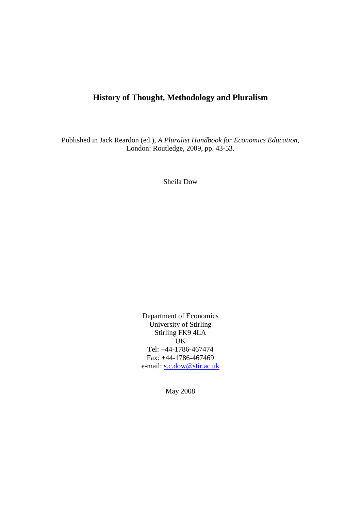# **History of Thought, Methodology and Pluralism**

Published in Jack Reardon (ed.), *A Pluralist Handbook for Economics Education*, London: Routledge, 2009, pp. 43-53.

Sheila Dow

Department of Economics University of Stirling Stirling FK9 4LA UK Tel: +44-1786-467474 Fax: +44-1786-467469 e-mail: [s.c.dow@stir.ac.uk](mailto:s.c.dow@stir.ac.uk)

May 2008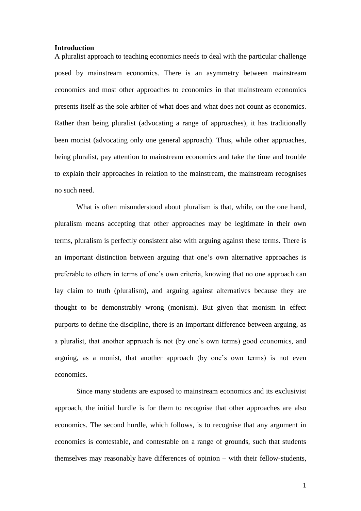#### **Introduction**

A pluralist approach to teaching economics needs to deal with the particular challenge posed by mainstream economics. There is an asymmetry between mainstream economics and most other approaches to economics in that mainstream economics presents itself as the sole arbiter of what does and what does not count as economics. Rather than being pluralist (advocating a range of approaches), it has traditionally been monist (advocating only one general approach). Thus, while other approaches, being pluralist, pay attention to mainstream economics and take the time and trouble to explain their approaches in relation to the mainstream, the mainstream recognises no such need.

What is often misunderstood about pluralism is that, while, on the one hand, pluralism means accepting that other approaches may be legitimate in their own terms, pluralism is perfectly consistent also with arguing against these terms. There is an important distinction between arguing that one's own alternative approaches is preferable to others in terms of one's own criteria, knowing that no one approach can lay claim to truth (pluralism), and arguing against alternatives because they are thought to be demonstrably wrong (monism). But given that monism in effect purports to define the discipline, there is an important difference between arguing, as a pluralist, that another approach is not (by one's own terms) good economics, and arguing, as a monist, that another approach (by one's own terms) is not even economics.

Since many students are exposed to mainstream economics and its exclusivist approach, the initial hurdle is for them to recognise that other approaches are also economics. The second hurdle, which follows, is to recognise that any argument in economics is contestable, and contestable on a range of grounds, such that students themselves may reasonably have differences of opinion – with their fellow-students,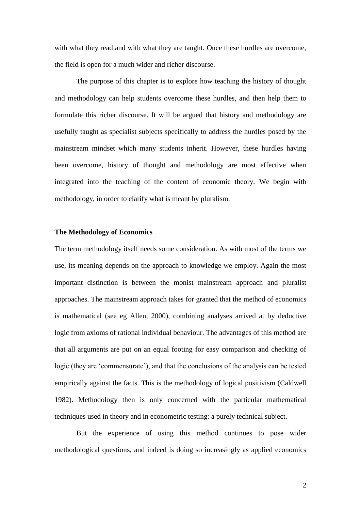with what they read and with what they are taught. Once these hurdles are overcome, the field is open for a much wider and richer discourse.

The purpose of this chapter is to explore how teaching the history of thought and methodology can help students overcome these hurdles, and then help them to formulate this richer discourse. It will be argued that history and methodology are usefully taught as specialist subjects specifically to address the hurdles posed by the mainstream mindset which many students inherit. However, these hurdles having been overcome, history of thought and methodology are most effective when integrated into the teaching of the content of economic theory. We begin with methodology, in order to clarify what is meant by pluralism.

## **The Methodology of Economics**

The term methodology itself needs some consideration. As with most of the terms we use, its meaning depends on the approach to knowledge we employ. Again the most important distinction is between the monist mainstream approach and pluralist approaches. The mainstream approach takes for granted that the method of economics is mathematical (see eg Allen, 2000), combining analyses arrived at by deductive logic from axioms of rational individual behaviour. The advantages of this method are that all arguments are put on an equal footing for easy comparison and checking of logic (they are 'commensurate'), and that the conclusions of the analysis can be tested empirically against the facts. This is the methodology of logical positivism (Caldwell 1982). Methodology then is only concerned with the particular mathematical techniques used in theory and in econometric testing: a purely technical subject.

But the experience of using this method continues to pose wider methodological questions, and indeed is doing so increasingly as applied economics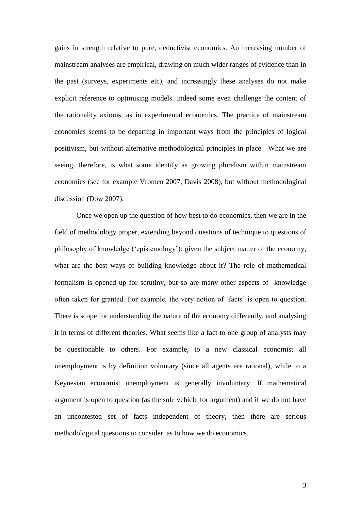gains in strength relative to pure, deductivist economics. An increasing number of mainstream analyses are empirical, drawing on much wider ranges of evidence than in the past (surveys, experiments etc), and increasingly these analyses do not make explicit reference to optimising models. Indeed some even challenge the content of the rationality axioms, as in experimental economics. The practice of mainstream economics seems to be departing in important ways from the principles of logical positivism, but without alternative methodological principles in place. What we are seeing, therefore, is what some identify as growing pluralism within mainstream economics (see for example Vromen 2007, Davis 2008), but without methodological discussion (Dow 2007).

Once we open up the question of how best to do economics, then we are in the field of methodology proper, extending beyond questions of technique to questions of philosophy of knowledge ('epistemology'): given the subject matter of the economy, what are the best ways of building knowledge about it? The role of mathematical formalism is opened up for scrutiny, but so are many other aspects of knowledge often taken for granted. For example, the very notion of 'facts' is open to question. There is scope for understanding the nature of the economy differently, and analysing it in terms of different theories. What seems like a fact to one group of analysts may be questionable to others. For example, to a new classical economist all unemployment is by definition voluntary (since all agents are rational), while to a Keynesian economist unemployment is generally involuntary. If mathematical argument is open to question (as the sole vehicle for argument) and if we do not have an uncontested set of facts independent of theory, then there are serious methodological questions to consider, as to how we do economics.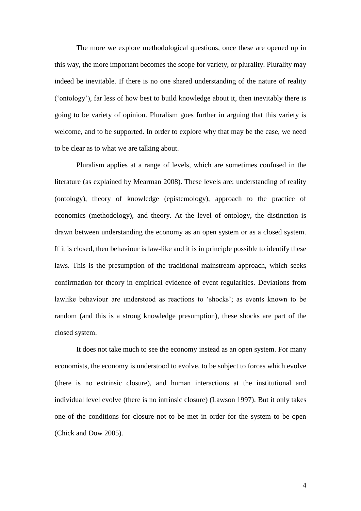The more we explore methodological questions, once these are opened up in this way, the more important becomes the scope for variety, or plurality. Plurality may indeed be inevitable. If there is no one shared understanding of the nature of reality ('ontology'), far less of how best to build knowledge about it, then inevitably there is going to be variety of opinion. Pluralism goes further in arguing that this variety is welcome, and to be supported. In order to explore why that may be the case, we need to be clear as to what we are talking about.

Pluralism applies at a range of levels, which are sometimes confused in the literature (as explained by Mearman 2008). These levels are: understanding of reality (ontology), theory of knowledge (epistemology), approach to the practice of economics (methodology), and theory. At the level of ontology, the distinction is drawn between understanding the economy as an open system or as a closed system. If it is closed, then behaviour is law-like and it is in principle possible to identify these laws. This is the presumption of the traditional mainstream approach, which seeks confirmation for theory in empirical evidence of event regularities. Deviations from lawlike behaviour are understood as reactions to 'shocks'; as events known to be random (and this is a strong knowledge presumption), these shocks are part of the closed system.

It does not take much to see the economy instead as an open system. For many economists, the economy is understood to evolve, to be subject to forces which evolve (there is no extrinsic closure), and human interactions at the institutional and individual level evolve (there is no intrinsic closure) (Lawson 1997). But it only takes one of the conditions for closure not to be met in order for the system to be open (Chick and Dow 2005).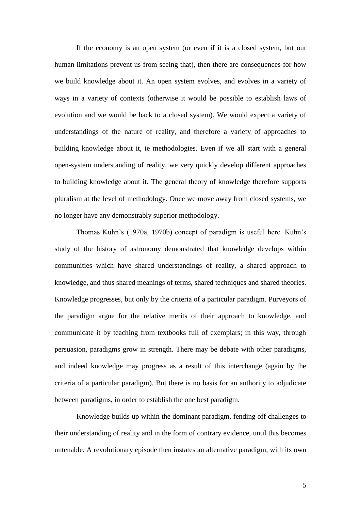If the economy is an open system (or even if it is a closed system, but our human limitations prevent us from seeing that), then there are consequences for how we build knowledge about it. An open system evolves, and evolves in a variety of ways in a variety of contexts (otherwise it would be possible to establish laws of evolution and we would be back to a closed system). We would expect a variety of understandings of the nature of reality, and therefore a variety of approaches to building knowledge about it, ie methodologies. Even if we all start with a general open-system understanding of reality, we very quickly develop different approaches to building knowledge about it. The general theory of knowledge therefore supports pluralism at the level of methodology. Once we move away from closed systems, we no longer have any demonstrably superior methodology.

Thomas Kuhn's (1970a, 1970b) concept of paradigm is useful here. Kuhn's study of the history of astronomy demonstrated that knowledge develops within communities which have shared understandings of reality, a shared approach to knowledge, and thus shared meanings of terms, shared techniques and shared theories. Knowledge progresses, but only by the criteria of a particular paradigm. Purveyors of the paradigm argue for the relative merits of their approach to knowledge, and communicate it by teaching from textbooks full of exemplars; in this way, through persuasion, paradigms grow in strength. There may be debate with other paradigms, and indeed knowledge may progress as a result of this interchange (again by the criteria of a particular paradigm). But there is no basis for an authority to adjudicate between paradigms, in order to establish the one best paradigm.

Knowledge builds up within the dominant paradigm, fending off challenges to their understanding of reality and in the form of contrary evidence, until this becomes untenable. A revolutionary episode then instates an alternative paradigm, with its own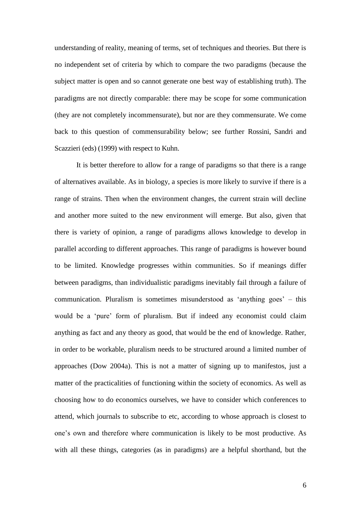understanding of reality, meaning of terms, set of techniques and theories. But there is no independent set of criteria by which to compare the two paradigms (because the subject matter is open and so cannot generate one best way of establishing truth). The paradigms are not directly comparable: there may be scope for some communication (they are not completely incommensurate), but nor are they commensurate. We come back to this question of commensurability below; see further Rossini, Sandri and Scazzieri (eds) (1999) with respect to Kuhn.

It is better therefore to allow for a range of paradigms so that there is a range of alternatives available. As in biology, a species is more likely to survive if there is a range of strains. Then when the environment changes, the current strain will decline and another more suited to the new environment will emerge. But also, given that there is variety of opinion, a range of paradigms allows knowledge to develop in parallel according to different approaches. This range of paradigms is however bound to be limited. Knowledge progresses within communities. So if meanings differ between paradigms, than individualistic paradigms inevitably fail through a failure of communication. Pluralism is sometimes misunderstood as 'anything goes' – this would be a 'pure' form of pluralism. But if indeed any economist could claim anything as fact and any theory as good, that would be the end of knowledge. Rather, in order to be workable, pluralism needs to be structured around a limited number of approaches (Dow 2004a). This is not a matter of signing up to manifestos, just a matter of the practicalities of functioning within the society of economics. As well as choosing how to do economics ourselves, we have to consider which conferences to attend, which journals to subscribe to etc, according to whose approach is closest to one's own and therefore where communication is likely to be most productive. As with all these things, categories (as in paradigms) are a helpful shorthand, but the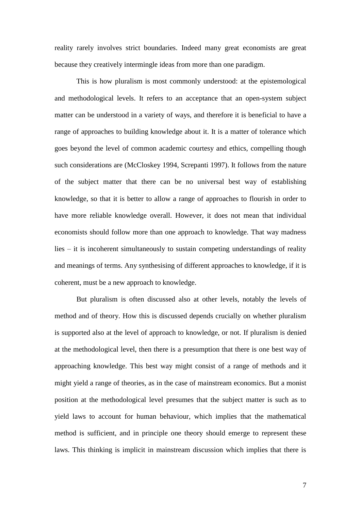reality rarely involves strict boundaries. Indeed many great economists are great because they creatively intermingle ideas from more than one paradigm.

This is how pluralism is most commonly understood: at the epistemological and methodological levels. It refers to an acceptance that an open-system subject matter can be understood in a variety of ways, and therefore it is beneficial to have a range of approaches to building knowledge about it. It is a matter of tolerance which goes beyond the level of common academic courtesy and ethics, compelling though such considerations are (McCloskey 1994, Screpanti 1997). It follows from the nature of the subject matter that there can be no universal best way of establishing knowledge, so that it is better to allow a range of approaches to flourish in order to have more reliable knowledge overall. However, it does not mean that individual economists should follow more than one approach to knowledge. That way madness lies – it is incoherent simultaneously to sustain competing understandings of reality and meanings of terms. Any synthesising of different approaches to knowledge, if it is coherent, must be a new approach to knowledge.

But pluralism is often discussed also at other levels, notably the levels of method and of theory. How this is discussed depends crucially on whether pluralism is supported also at the level of approach to knowledge, or not. If pluralism is denied at the methodological level, then there is a presumption that there is one best way of approaching knowledge. This best way might consist of a range of methods and it might yield a range of theories, as in the case of mainstream economics. But a monist position at the methodological level presumes that the subject matter is such as to yield laws to account for human behaviour, which implies that the mathematical method is sufficient, and in principle one theory should emerge to represent these laws. This thinking is implicit in mainstream discussion which implies that there is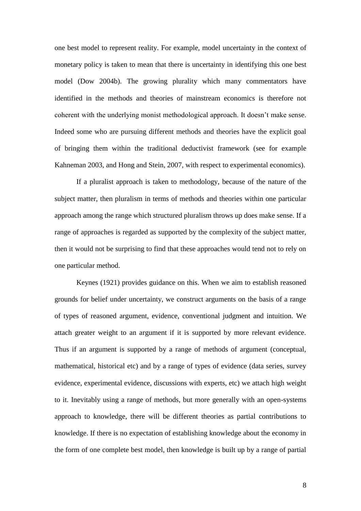one best model to represent reality. For example, model uncertainty in the context of monetary policy is taken to mean that there is uncertainty in identifying this one best model (Dow 2004b). The growing plurality which many commentators have identified in the methods and theories of mainstream economics is therefore not coherent with the underlying monist methodological approach. It doesn't make sense. Indeed some who are pursuing different methods and theories have the explicit goal of bringing them within the traditional deductivist framework (see for example Kahneman 2003, and Hong and Stein, 2007, with respect to experimental economics).

If a pluralist approach is taken to methodology, because of the nature of the subject matter, then pluralism in terms of methods and theories within one particular approach among the range which structured pluralism throws up does make sense. If a range of approaches is regarded as supported by the complexity of the subject matter, then it would not be surprising to find that these approaches would tend not to rely on one particular method.

Keynes (1921) provides guidance on this. When we aim to establish reasoned grounds for belief under uncertainty, we construct arguments on the basis of a range of types of reasoned argument, evidence, conventional judgment and intuition. We attach greater weight to an argument if it is supported by more relevant evidence. Thus if an argument is supported by a range of methods of argument (conceptual, mathematical, historical etc) and by a range of types of evidence (data series, survey evidence, experimental evidence, discussions with experts, etc) we attach high weight to it. Inevitably using a range of methods, but more generally with an open-systems approach to knowledge, there will be different theories as partial contributions to knowledge. If there is no expectation of establishing knowledge about the economy in the form of one complete best model, then knowledge is built up by a range of partial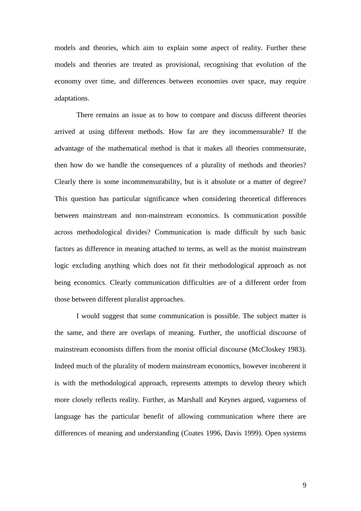models and theories, which aim to explain some aspect of reality. Further these models and theories are treated as provisional, recognising that evolution of the economy over time, and differences between economies over space, may require adaptations.

There remains an issue as to how to compare and discuss different theories arrived at using different methods. How far are they incommensurable? If the advantage of the mathematical method is that it makes all theories commensurate, then how do we handle the consequences of a plurality of methods and theories? Clearly there is some incommensurability, but is it absolute or a matter of degree? This question has particular significance when considering theoretical differences between mainstream and non-mainstream economics. Is communication possible across methodological divides? Communication is made difficult by such basic factors as difference in meaning attached to terms, as well as the monist mainstream logic excluding anything which does not fit their methodological approach as not being economics. Clearly communication difficulties are of a different order from those between different pluralist approaches.

I would suggest that some communication is possible. The subject matter is the same, and there are overlaps of meaning. Further, the unofficial discourse of mainstream economists differs from the monist official discourse (McCloskey 1983). Indeed much of the plurality of modern mainstream economics, however incoherent it is with the methodological approach, represents attempts to develop theory which more closely reflects reality. Further, as Marshall and Keynes argued, vagueness of language has the particular benefit of allowing communication where there are differences of meaning and understanding (Coates 1996, Davis 1999). Open systems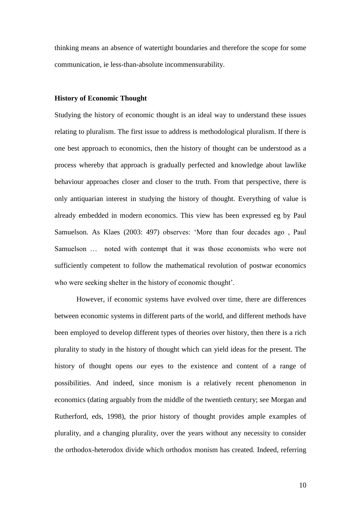thinking means an absence of watertight boundaries and therefore the scope for some communication, ie less-than-absolute incommensurability.

#### **History of Economic Thought**

Studying the history of economic thought is an ideal way to understand these issues relating to pluralism. The first issue to address is methodological pluralism. If there is one best approach to economics, then the history of thought can be understood as a process whereby that approach is gradually perfected and knowledge about lawlike behaviour approaches closer and closer to the truth. From that perspective, there is only antiquarian interest in studying the history of thought. Everything of value is already embedded in modern economics. This view has been expressed eg by Paul Samuelson. As Klaes (2003: 497) observes: 'More than four decades ago , Paul Samuelson … noted with contempt that it was those economists who were not sufficiently competent to follow the mathematical revolution of postwar economics who were seeking shelter in the history of economic thought'.

However, if economic systems have evolved over time, there are differences between economic systems in different parts of the world, and different methods have been employed to develop different types of theories over history, then there is a rich plurality to study in the history of thought which can yield ideas for the present. The history of thought opens our eyes to the existence and content of a range of possibilities. And indeed, since monism is a relatively recent phenomenon in economics (dating arguably from the middle of the twentieth century; see Morgan and Rutherford, eds, 1998), the prior history of thought provides ample examples of plurality, and a changing plurality, over the years without any necessity to consider the orthodox-heterodox divide which orthodox monism has created. Indeed, referring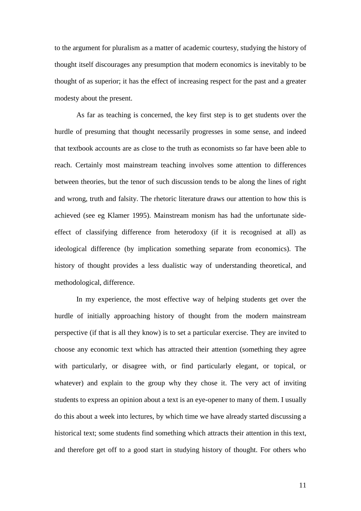to the argument for pluralism as a matter of academic courtesy, studying the history of thought itself discourages any presumption that modern economics is inevitably to be thought of as superior; it has the effect of increasing respect for the past and a greater modesty about the present.

As far as teaching is concerned, the key first step is to get students over the hurdle of presuming that thought necessarily progresses in some sense, and indeed that textbook accounts are as close to the truth as economists so far have been able to reach. Certainly most mainstream teaching involves some attention to differences between theories, but the tenor of such discussion tends to be along the lines of right and wrong, truth and falsity. The rhetoric literature draws our attention to how this is achieved (see eg Klamer 1995). Mainstream monism has had the unfortunate sideeffect of classifying difference from heterodoxy (if it is recognised at all) as ideological difference (by implication something separate from economics). The history of thought provides a less dualistic way of understanding theoretical, and methodological, difference.

In my experience, the most effective way of helping students get over the hurdle of initially approaching history of thought from the modern mainstream perspective (if that is all they know) is to set a particular exercise. They are invited to choose any economic text which has attracted their attention (something they agree with particularly, or disagree with, or find particularly elegant, or topical, or whatever) and explain to the group why they chose it. The very act of inviting students to express an opinion about a text is an eye-opener to many of them. I usually do this about a week into lectures, by which time we have already started discussing a historical text; some students find something which attracts their attention in this text, and therefore get off to a good start in studying history of thought. For others who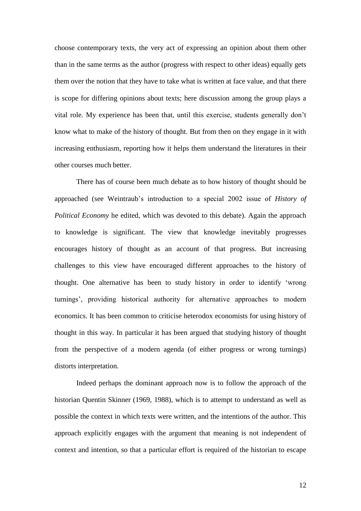choose contemporary texts, the very act of expressing an opinion about them other than in the same terms as the author (progress with respect to other ideas) equally gets them over the notion that they have to take what is written at face value, and that there is scope for differing opinions about texts; here discussion among the group plays a vital role. My experience has been that, until this exercise, students generally don't know what to make of the history of thought. But from then on they engage in it with increasing enthusiasm, reporting how it helps them understand the literatures in their other courses much better.

There has of course been much debate as to how history of thought should be approached (see Weintraub's introduction to a special 2002 issue of *History of Political Economy* he edited, which was devoted to this debate). Again the approach to knowledge is significant. The view that knowledge inevitably progresses encourages history of thought as an account of that progress. But increasing challenges to this view have encouraged different approaches to the history of thought. One alternative has been to study history in order to identify 'wrong turnings', providing historical authority for alternative approaches to modern economics. It has been common to criticise heterodox economists for using history of thought in this way. In particular it has been argued that studying history of thought from the perspective of a modern agenda (of either progress or wrong turnings) distorts interpretation.

Indeed perhaps the dominant approach now is to follow the approach of the historian Quentin Skinner (1969, 1988), which is to attempt to understand as well as possible the context in which texts were written, and the intentions of the author. This approach explicitly engages with the argument that meaning is not independent of context and intention, so that a particular effort is required of the historian to escape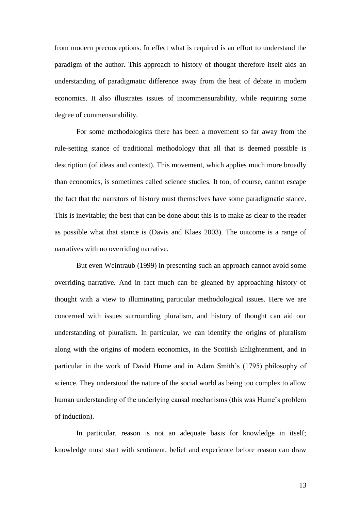from modern preconceptions. In effect what is required is an effort to understand the paradigm of the author. This approach to history of thought therefore itself aids an understanding of paradigmatic difference away from the heat of debate in modern economics. It also illustrates issues of incommensurability, while requiring some degree of commensurability.

For some methodologists there has been a movement so far away from the rule-setting stance of traditional methodology that all that is deemed possible is description (of ideas and context). This movement, which applies much more broadly than economics, is sometimes called science studies. It too, of course, cannot escape the fact that the narrators of history must themselves have some paradigmatic stance. This is inevitable; the best that can be done about this is to make as clear to the reader as possible what that stance is (Davis and Klaes 2003). The outcome is a range of narratives with no overriding narrative.

But even Weintraub (1999) in presenting such an approach cannot avoid some overriding narrative. And in fact much can be gleaned by approaching history of thought with a view to illuminating particular methodological issues. Here we are concerned with issues surrounding pluralism, and history of thought can aid our understanding of pluralism. In particular, we can identify the origins of pluralism along with the origins of modern economics, in the Scottish Enlightenment, and in particular in the work of David Hume and in Adam Smith's (1795) philosophy of science. They understood the nature of the social world as being too complex to allow human understanding of the underlying causal mechanisms (this was Hume's problem of induction).

In particular, reason is not an adequate basis for knowledge in itself; knowledge must start with sentiment, belief and experience before reason can draw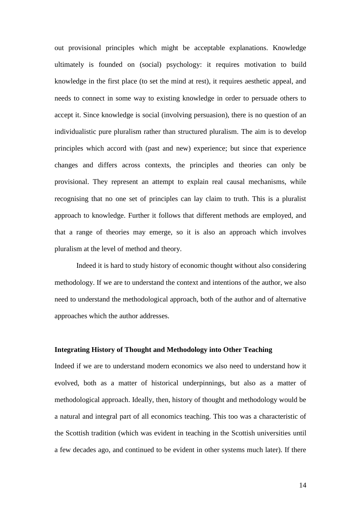out provisional principles which might be acceptable explanations. Knowledge ultimately is founded on (social) psychology: it requires motivation to build knowledge in the first place (to set the mind at rest), it requires aesthetic appeal, and needs to connect in some way to existing knowledge in order to persuade others to accept it. Since knowledge is social (involving persuasion), there is no question of an individualistic pure pluralism rather than structured pluralism. The aim is to develop principles which accord with (past and new) experience; but since that experience changes and differs across contexts, the principles and theories can only be provisional. They represent an attempt to explain real causal mechanisms, while recognising that no one set of principles can lay claim to truth. This is a pluralist approach to knowledge. Further it follows that different methods are employed, and that a range of theories may emerge, so it is also an approach which involves pluralism at the level of method and theory.

Indeed it is hard to study history of economic thought without also considering methodology. If we are to understand the context and intentions of the author, we also need to understand the methodological approach, both of the author and of alternative approaches which the author addresses.

## **Integrating History of Thought and Methodology into Other Teaching**

Indeed if we are to understand modern economics we also need to understand how it evolved, both as a matter of historical underpinnings, but also as a matter of methodological approach. Ideally, then, history of thought and methodology would be a natural and integral part of all economics teaching. This too was a characteristic of the Scottish tradition (which was evident in teaching in the Scottish universities until a few decades ago, and continued to be evident in other systems much later). If there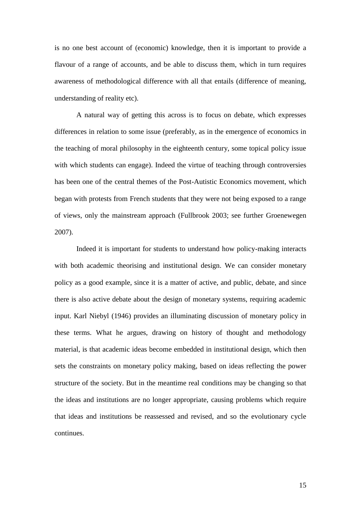is no one best account of (economic) knowledge, then it is important to provide a flavour of a range of accounts, and be able to discuss them, which in turn requires awareness of methodological difference with all that entails (difference of meaning, understanding of reality etc).

A natural way of getting this across is to focus on debate, which expresses differences in relation to some issue (preferably, as in the emergence of economics in the teaching of moral philosophy in the eighteenth century, some topical policy issue with which students can engage). Indeed the virtue of teaching through controversies has been one of the central themes of the Post-Autistic Economics movement, which began with protests from French students that they were not being exposed to a range of views, only the mainstream approach (Fullbrook 2003; see further Groenewegen 2007).

Indeed it is important for students to understand how policy-making interacts with both academic theorising and institutional design. We can consider monetary policy as a good example, since it is a matter of active, and public, debate, and since there is also active debate about the design of monetary systems, requiring academic input. Karl Niebyl (1946) provides an illuminating discussion of monetary policy in these terms. What he argues, drawing on history of thought and methodology material, is that academic ideas become embedded in institutional design, which then sets the constraints on monetary policy making, based on ideas reflecting the power structure of the society. But in the meantime real conditions may be changing so that the ideas and institutions are no longer appropriate, causing problems which require that ideas and institutions be reassessed and revised, and so the evolutionary cycle continues.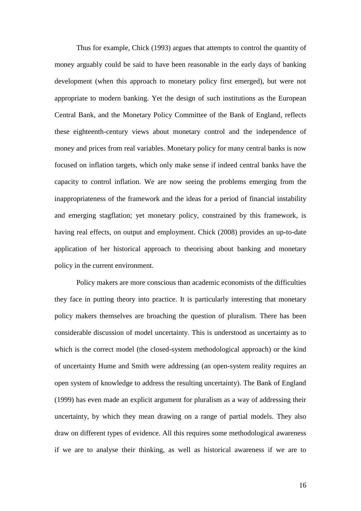Thus for example, Chick (1993) argues that attempts to control the quantity of money arguably could be said to have been reasonable in the early days of banking development (when this approach to monetary policy first emerged), but were not appropriate to modern banking. Yet the design of such institutions as the European Central Bank, and the Monetary Policy Committee of the Bank of England, reflects these eighteenth-century views about monetary control and the independence of money and prices from real variables. Monetary policy for many central banks is now focused on inflation targets, which only make sense if indeed central banks have the capacity to control inflation. We are now seeing the problems emerging from the inappropriateness of the framework and the ideas for a period of financial instability and emerging stagflation; yet monetary policy, constrained by this framework, is having real effects, on output and employment. Chick (2008) provides an up-to-date application of her historical approach to theorising about banking and monetary policy in the current environment.

Policy makers are more conscious than academic economists of the difficulties they face in putting theory into practice. It is particularly interesting that monetary policy makers themselves are broaching the question of pluralism. There has been considerable discussion of model uncertainty. This is understood as uncertainty as to which is the correct model (the closed-system methodological approach) or the kind of uncertainty Hume and Smith were addressing (an open-system reality requires an open system of knowledge to address the resulting uncertainty). The Bank of England (1999) has even made an explicit argument for pluralism as a way of addressing their uncertainty, by which they mean drawing on a range of partial models. They also draw on different types of evidence. All this requires some methodological awareness if we are to analyse their thinking, as well as historical awareness if we are to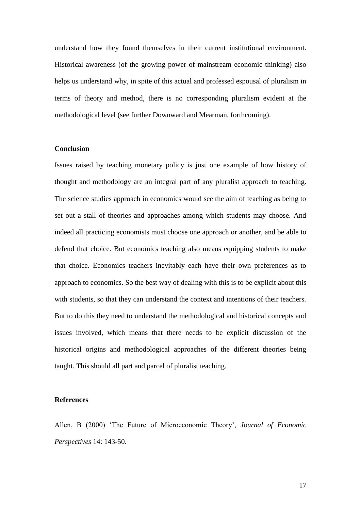understand how they found themselves in their current institutional environment. Historical awareness (of the growing power of mainstream economic thinking) also helps us understand why, in spite of this actual and professed espousal of pluralism in terms of theory and method, there is no corresponding pluralism evident at the methodological level (see further Downward and Mearman, forthcoming).

### **Conclusion**

Issues raised by teaching monetary policy is just one example of how history of thought and methodology are an integral part of any pluralist approach to teaching. The science studies approach in economics would see the aim of teaching as being to set out a stall of theories and approaches among which students may choose. And indeed all practicing economists must choose one approach or another, and be able to defend that choice. But economics teaching also means equipping students to make that choice. Economics teachers inevitably each have their own preferences as to approach to economics. So the best way of dealing with this is to be explicit about this with students, so that they can understand the context and intentions of their teachers. But to do this they need to understand the methodological and historical concepts and issues involved, which means that there needs to be explicit discussion of the historical origins and methodological approaches of the different theories being taught. This should all part and parcel of pluralist teaching.

#### **References**

Allen, B (2000) 'The Future of Microeconomic Theory', *Journal of Economic Perspectives* 14: 143-50.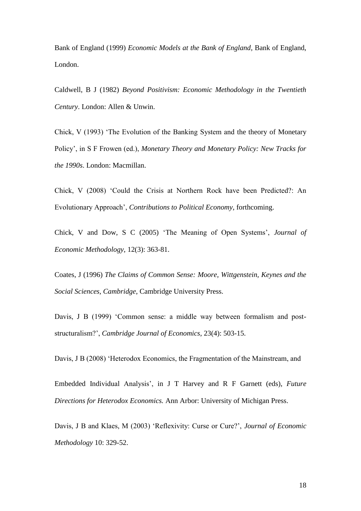Bank of England (1999) *Economic Models at the Bank of England,* Bank of England, London.

Caldwell, B J (1982) *Beyond Positivism: Economic Methodology in the Twentieth Century*. London: Allen & Unwin.

Chick, V (1993) 'The Evolution of the Banking System and the theory of Monetary Policy', in S F Frowen (ed.), *Monetary Theory and Monetary Policy: New Tracks for the 1990s*. London: Macmillan.

Chick, V (2008) 'Could the Crisis at Northern Rock have been Predicted?: An Evolutionary Approach', *Contributions to Political Economy*, forthcoming.

Chick, V and Dow, S C (2005) 'The Meaning of Open Systems', *Journal of Economic Methodology*, 12(3): 363-81.

Coates, J (1996) *The Claims of Common Sense: Moore, Wittgenstein, Keynes and the Social Sciences, Cambridge*, Cambridge University Press.

Davis, J B (1999) 'Common sense: a middle way between formalism and poststructuralism?', *Cambridge Journal of Economics*, 23(4): 503-15.

Davis, J B (2008) 'Heterodox Economics, the Fragmentation of the Mainstream, and

Embedded Individual Analysis', in J T Harvey and R F Garnett (eds), *Future Directions for Heterodox Economics.* Ann Arbor: University of Michigan Press.

Davis, J B and Klaes, M (2003) 'Reflexivity: Curse or Cure?', *Journal of Economic Methodology* 10: 329-52.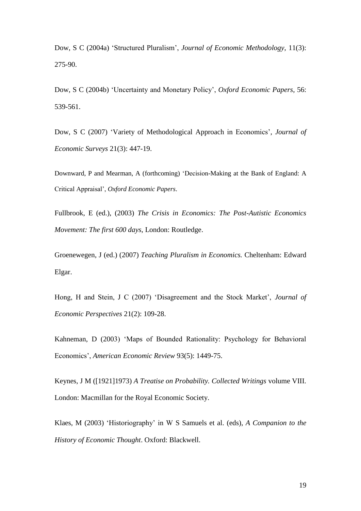Dow, S C (2004a) 'Structured Pluralism', *Journal of Economic Methodology*, 11(3): 275-90.

Dow, S C (2004b) 'Uncertainty and Monetary Policy', *Oxford Economic Papers*, 56: 539-561.

Dow, S C (2007) 'Variety of Methodological Approach in Economics', *Journal of Economic Surveys* 21(3): 447-19.

Downward, P and Mearman, A (forthcoming) 'Decision-Making at the Bank of England: A Critical Appraisal', *Oxford Economic Papers*.

Fullbrook, E (ed.), (2003) *The Crisis in Economics: The Post-Autistic Economics Movement: The first 600 days*, London: Routledge.

Groenewegen, J (ed.) (2007) *Teaching Pluralism in Economics.* Cheltenham: Edward Elgar.

Hong, H and Stein, J C (2007) 'Disagreement and the Stock Market', *Journal of Economic Perspectives* 21(2): 109-28.

Kahneman, D (2003) 'Maps of Bounded Rationality: Psychology for Behavioral Economics', *American Economic Review* 93(5): 1449-75.

Keynes, J M ([1921]1973) *A Treatise on Probability. Collected Writings* volume VIII. London: Macmillan for the Royal Economic Society.

Klaes, M (2003) 'Historiography' in W S Samuels et al. (eds), *A Companion to the History of Economic Thought*. Oxford: Blackwell.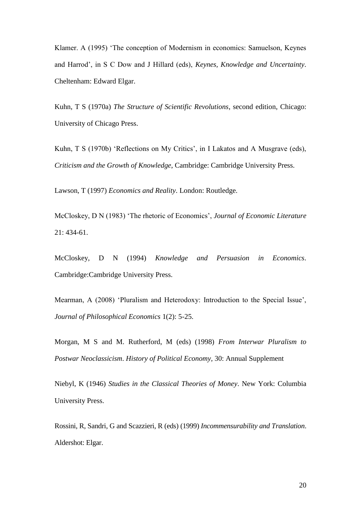Klamer. A (1995) 'The conception of Modernism in economics: Samuelson, Keynes and Harrod', in S C Dow and J Hillard (eds), *Keynes, Knowledge and Uncertainty*. Cheltenham: Edward Elgar.

Kuhn, T S (1970a) *The Structure of Scientific Revolutions*, second edition, Chicago: University of Chicago Press.

Kuhn, T S (1970b) 'Reflections on My Critics', in I Lakatos and A Musgrave (eds), *Criticism and the Growth of Knowledge*, Cambridge: Cambridge University Press.

Lawson, T (1997) *Economics and Reality*. London: Routledge.

McCloskey, D N (1983) 'The rhetoric of Economics', *Journal of Economic Literature* 21: 434-61.

McCloskey, D N (1994) *Knowledge and Persuasion in Economics*. Cambridge:Cambridge University Press.

Mearman, A (2008) 'Pluralism and Heterodoxy: Introduction to the Special Issue', *Journal of Philosophical Economics* 1(2): 5-25.

Morgan, M S and M. Rutherford, M (eds) (1998) *From Interwar Pluralism to Postwar Neoclassicism*. *History of Political Economy,* 30: Annual Supplement

Niebyl, K (1946) *Studies in the Classical Theories of Money*. New York: Columbia University Press.

Rossini, R, Sandri, G and Scazzieri, R (eds) (1999) *Incommensurability and Translation*. Aldershot: Elgar.